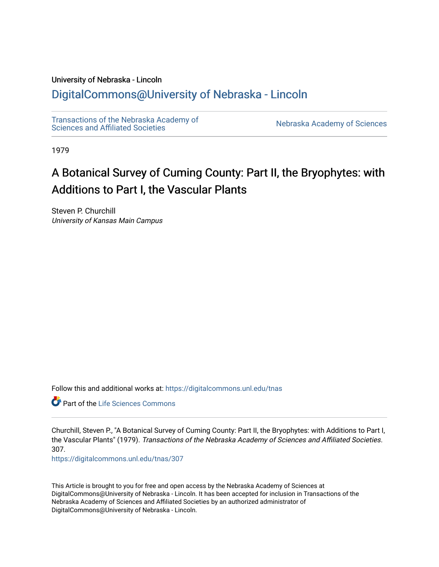## University of Nebraska - Lincoln

# [DigitalCommons@University of Nebraska - Lincoln](https://digitalcommons.unl.edu/)

[Transactions of the Nebraska Academy of](https://digitalcommons.unl.edu/tnas)  Transactions of the Nebraska Academy of Sciences<br>Sciences and Affiliated Societies

1979

# A Botanical Survey of Cuming County: Part II, the Bryophytes: with Additions to Part I, the Vascular Plants

Steven P. Churchill University of Kansas Main Campus

Follow this and additional works at: [https://digitalcommons.unl.edu/tnas](https://digitalcommons.unl.edu/tnas?utm_source=digitalcommons.unl.edu%2Ftnas%2F307&utm_medium=PDF&utm_campaign=PDFCoverPages) 

**C** Part of the Life Sciences Commons

Churchill, Steven P., "A Botanical Survey of Cuming County: Part II, the Bryophytes: with Additions to Part I, the Vascular Plants" (1979). Transactions of the Nebraska Academy of Sciences and Affiliated Societies. 307.

[https://digitalcommons.unl.edu/tnas/307](https://digitalcommons.unl.edu/tnas/307?utm_source=digitalcommons.unl.edu%2Ftnas%2F307&utm_medium=PDF&utm_campaign=PDFCoverPages) 

This Article is brought to you for free and open access by the Nebraska Academy of Sciences at DigitalCommons@University of Nebraska - Lincoln. It has been accepted for inclusion in Transactions of the Nebraska Academy of Sciences and Affiliated Societies by an authorized administrator of DigitalCommons@University of Nebraska - Lincoln.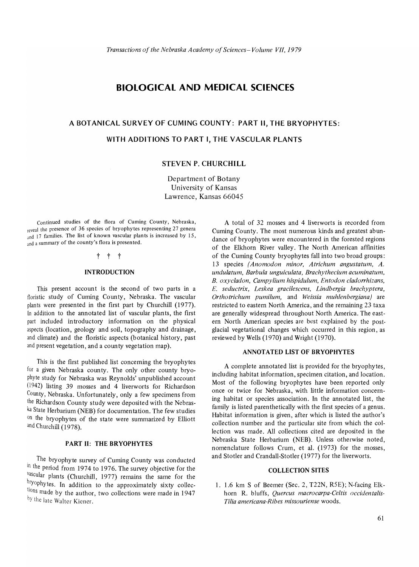# **BIOLOGICAL AND MEDICAL SCIENCES**

# **A BOTANICAL SURVEY OF CUMING COUNTY: PART II, THE BRYOPHYTES: WITH ADDITIONS TO PART I, THE VASCULAR PLANTS**

### **STEVEN P. CHURCHILL**

Department of Botany University of Kansas Lawrence, Kansas 66045

Continued studies of the flora of Cuming County, Nebraska, reveal the presence of 36 species of bryophytes representing 27 genera and 17 families. The list of known vascular plants is increased by 15, and a summary of the county's flora is presented.

## t t t

#### **INTRODUCTION**

This present account is the second of two parts in a floristic study of Cuming County, Nebraska. The vascular plants were presented in the first part by Churchill (1977). In addition to the annotated list of vascular plants, the first part included introductory information on the physical aspects (location, geology and soil, topography and drainage, and climate) and the floristic aspects (botanical history, past and present vegetation, and a county vegetation map).

This is the first published list concerning the bryophytes for a given Nebraska county. The only other county bryophyte study for Nebraska was Reynolds' unpublished account (I942) listing 39 mosses and 4 liverworts for Richardson County, Nebraska. Unfortunately, only a few specimens from the Richardson County study were deposited with the Nebraska State Herbarium (NEB) for documentation. The few studies on the bryophytes of the state were summarized by Elliott and Churchill (1978).

#### **PART II: THE BRYOPHYTES**

The bryophyte survey of Cuming County was conducted in the period from 1974 to 1976. The survey objective for the <sup>vascular</sup> plants (Churchill, 1977) remains the same for the bryophytes. In addition to the approximately sixty collections made by the author, two collections were made in 1947 by the late Walter Kiener.

A total of 32 mosses and 4 liverworts is recorded from Cuming County. The most numerous kinds and greatest abundance of bryophytes were encountered in the forested regions of the Elkhorn River valley. The North American affmities of the Cuming County bryophytes fall into two broad groups: 13 species *(Anomodon minor, Atrichum angustatum, A. undulatum, Barbula unguiculata, Brachythecium acuminatum, B. oxycladon, Campylium hispidulum, Entodon cladorrhizans, E. seductrix, Leskea gracilescens, Lindbergia brachyptera, Orthotrichum pumilum,* and *Weissia muhlenbergiana)* are restricted to eastern North America, and the remaining 23 taxa are generally widespread throughout North America. The eastern North American species are best explained by the postglacial vegetational changes which occurred in this region, as reviewed by Wells (1970) and Wright (1970).

#### **ANNOTATED LIST OF BRYOPHYTES**

A complete annotated list is provided for the bryophytes, including habitat information, specimen citation, and location. Most of the following bryophytes have been reported only once or twice for Nebraska, with little information concerning habitat or species association. In the annotated list, the family is listed parenthetically with the first species of a genus. Habitat information is given, after which is listed the author's collection number and the particular site from which the collection was made. All collections cited are deposited in the Nebraska State Herbarium (NEB). Unless otherwise noted, nomenclature follows Crum, et al. (1973) for the mosses, and Stotler and Crandall-Stotler (1977) for the liverworts.

#### **COLLECTION SITES**

1. 1.6 km S of Beemer (Sec. 2, T22N, R5E); N-facing Elkhorn R. bluffs, *Quercus macrocarpa-Celtis occiden talis-Tilia americana-Ribes missouriense* woods.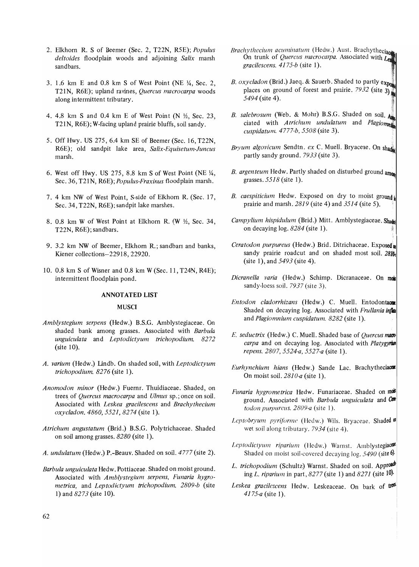- 2. Elkhorn R. S of Beemer (Sec. 2, T22N, R5E); *Populus deltoides* floodplain woods and adjoining *Salix* marsh sandbars.
- 3. 1.6 km E and 0.8 km S of West Point (NE  $\frac{1}{4}$ , Sec. 2, T21N, R6E); upland ravines, *Quercus macrocarpa* woods along intermittent tributary.
- 4. 4.8 km S and 0.4 km E of West Point (N  $\frac{1}{2}$ , Sec. 23, T21N, R6E); W-facing upland prairie bluffs, soil sandy.
- 5. Off Hwy. US 275, 6.4 km SE of Beemer (Sec. 16, T22N, R6E); old sandpit lake area, *Salix-Equisetum-luncus*  marsh.
- 6. West off Hwy. US 275, 8.8 km S of West Point (NE $\frac{1}{4}$ , Sec. 36, T21N, *R6E); Populus-Fraxinus* floodplain marsh.
- 7. 4 km NW of West Point, S-side of Elkhorn R. (Sec. 17, Sec. 34, T22N, R6E); sandpit lake marshes.
- 8. 0.8 km W of West Point at Elkhorn R. (W  $\frac{1}{2}$ , Sec. 34, T22N, R6E); sandbars.
- 9. 3.2 km NW of Beemer, Elkhorn R.; sandbars and banks, Kiener collections-22918, 22920.
- 10. 0.8 km S of Wisner and 0.8 km W (Sec. 11, T24N, R4E); intermittent floodplain pond.

#### ANNOTATED LIST

#### **MUSCI**

- *Amblystegium serpens* (Hedw.) B.S.C. Amblystegiaceae. On shaded bank among grasses. Associated with *Barbula unguiculata* and *Leptodictyum trichopodium. 8272*  (site 10).
- *A. varium* (Hedw.) lindb. On shaded soil, with *Leptodictyum trichopodium.* 8276 (site 1).
- *Anomodon minor* (Hedw.) Fuernr. Thuidiaceae. Shaded, on trees. of *Quercus macrocarpa* and *Ulmus* sp.; once on soil. Associated with *Leskea gracilescens* and *Brachythecium oxycladon. 4860,* 5521, 8274 (site 1).
- *Atrichum angustatum* (Brid.) B.S.C. Polytrichaceae. Shaded on soil among grasses. *8280* (site 1).
- *A. undulatum* (Hedw.) P.-Beauv. Shaded on soil. 4777 (site 2).
- *Barbula unguiculata* Hedw. Pottiaceae. Shaded on moist ground. Associated with *Amblystegium serpens, Funaria hygrometrica,* and *Leptodictyum trichopodium. 2809-b* (site 1) and 8273 (site 10).
- *Brachythecium acuminatum* (Hedw.) Aust. Brachytheciae On trunk of *Quercus macrocarpa*. Associated with Let *gracilescens. 4175-b* (site 1).
- *B. oxycladon* (Brid.) Jaeq. & Sauerb. Shaded to partly ex places on ground of forest and prairie. 7932 (site  $3$ ) 5494 (site 4).
- *B. salebrosum* (Web. & Mohr) B.S.G. Shaded on soil. A ciated with *Atrichum undulatum* and *Plagiom cuspidatum. 4777-b, 5508* (site 3). .~
- *Brvum algovicum Sendtn. ex C. Muell. Bryaceae. On shade* partly sandy ground. 7933 (site 3).
- B. argenteum Hedw. Partly shaded on disturbed ground amon grasses.  $5518$  (site 1).
- B. caespiticium Hedw. Exposed on dry to moist ground i prairie and marsh.  $2819$  (site 4) and  $3514$  (site 5).
- Campylium hispidulum (Brid.) Mitt. Amblystegiaceae. Shade on decaying  $log. 8284$  (site 1).
- Ceratodon purpureus (Hedw.) Brid. Ditrichaceae. Exposed<sup>®</sup> sandy prairie roadcut and on shaded most soil.  $2810$ c (site 1), and  $5493$  (site 4).
- *Dicranella varia* (Hedw.) Schimp. Dicranaceae. On **mcli**  sandy-loess soil. 7937 (site 3).
- *Entodon cladorrhizans* (Hedw.) C. Muell. Entodon\_ Shaded on decaying log. Associated with *Frullania* inflatand *Plagiomnium cuspidatum.* 8282 (site 1).
- *E. seductrix* (Hedw.) C. Muell. Shaded base of *Quercus mac*ro *carpa* and on decaying log. Associated with *Platygyrian repens. 2807, 5524-a, 5527-a* (site 1).
- Eurhynchium hians (Hedw.) Sande Lac. Brachytheciace On moist soil. *2810-a* (site 1).
- *Funaria hygrometrica* Hedw. Funariaceae. Shaded on \_ ground. Associated with *Barbula unguiculata* and Cent *todOll purpureus. 2809-a* (site 1).
- *Leptobryum pyrijorme* (Hedw.) Wils. Bryaceae. Shaded 01 wet soil along tributary. 7934 (site 4).
- Leptodictyum riparium (Hedw.) Warnst. Amblystegiaceat Shaded on moist soil-covered decaying log. *5490* (site 6).
- L. trichopodium (Schultz) Warnst. Shaded on soil. Approad<sup>t</sup> ing *L. riparium* in part, 8277 (site 1) and 8271 (site 10).
- Leskea gracilescens Hedw. Leskeaceae. On bark of treas *4175-a* (site 1).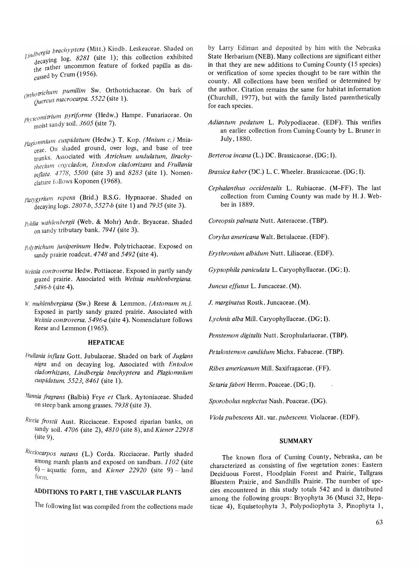- *. 'rgia brachyptera* (Mitt.) Kindb. Leskeaceae. Shaded on  $\frac{JU}{J}$  log. 8281 (site 1); this collection exhibited the rather uncommon feature of forked papilla as discussed by Crum (1956).
- <sup>I</sup>*triellum pumilim* Sw. Orthotrichaceae. On bark of *Ort* 10 *Quercus rr1fJcrocarpa.* 5522 (sIte 1).
- *p<sub>hyscomitrium pyriforme* (Hedw.) Hampe. Funariaceae. On</sub> moist sandy soil. 3605 (site 7).
- *p/agiomnium cuspidatum* (Hedw.) T. Kop. *(Mnium c.)* Mniaceae, On shaded ground, over logs, and base of tree trunks. Associated with *Atrichum undulatum, Brachytheciunl oxycladon, Antodon cladorrizans* and *Frullania inflata.* 4778, 5500 (site 3) and 8283 (site 1). Nomenclature follows Koponen (1968).
- *p/atygyriu/1/ repens* (Brid.) *B.S.C.* Hypnaceae. Shaded on decaying logs. *2807-b, 5527-b* (site 1) and 7935 (site 3).
- *pohlia wahlenbergii* (Web. & Mohr) An dr. Bryaceae. Shaded on sandy tributary bank. 7941 (site 3).
- *Polytrichum juniperinum* Hedw. Polytrichaceae. Exposed on sandy prairie roadcut.  $4748$  and  $5492$  (site 4).
- *lI'eissia controversa* Hedw. Pottiaceae. Exposed in partly sandy grazed prairie. Associated with *Weissia muhlenbergiana. 5496-b* (site 4).
- II'. *muhlenbergiana* (Sw.) Reese & Lemmon. *(Astomum m.j.*  Exposed in partly sandy grazed prairie. Associated with *Weissia controversa. 5496-a* (site 4). Nomenclature follows Reese and Lemmon (1965).

#### HEPATICAE

- *Frullania injlata Cott.* Jubulaceae. Shaded on bark of *Juglans nigra* and on decaying log. Associated with *Entodon cladorrhizans, Lindbergia brachyptera* and *Plagiomnium cuspidatum.* 5523, 8461 (site 1).
- *. Ifannia Iragrans* (Balbis) Frye *et* Clark. Aytoniaceae. Shaded on steep bank among grasses. 7938 (site 3).
- *Riccia lrostii* Aust. Ricciaceae. Exposed riparian banks, on sandy soil. *4706* (site 2), *4810* (site 8), and *Kiener 22918*  (site 9).
- *Ricciocarpos natans* (L.) Corda. Ricciaceae. Partly shaded among marsh plants and exposed on sandbars. *1102* (site  $6$  – aquatic form, and *Kiener 22920* (site 9) – land form.

# ADDITIONS TO PART **I,** THE VASCULAR PLANTS

The following list was compiled from the collections made

by Larry Ediman and deposited by him with the Nebraska State Herbarium (NEB). Many collections are significant either in that they are new additions to Cuming County (15 species) or verification of some species thought to be rare within the county. All collections have been verified or determined by the author. Citation remains the same for habitat information (Churchill, 1977), but with the family listed parenthetically for each species.

- *Adiantum pedatum* L. Polypodiaceae. (EDF). This verifies an earlier collection from Cuming County by L. Bruner in July, 1880.
- *Berteroa incana* (L.) DC. Brassicaceae. (DC; I).
- *Brassica kaber* (DC.) L. C. Wheeler. Brassicaceae. (DC; I).
- *Cephalanthus occidentalis* L. Rubiaceae. (M-FF). The last collection from Cuming County was made by H. J. Webberin 1889.

*Coreopsis palmata Nutt. Asteraceae. (TBP).* 

*Corylus americana* Walt. Betulaceae. (EDF).

*Erythronium albidum* Nutt. Uliaceae. (EDF).

*Gypsophila paniculata* L. Caryophyllaceae. (DC; I).

*Juncus effusus L. Juncaceae.* (M).

*J. marginatus Rostk. Juncaceae.* (M).

*Lychnis alba* Mill. Caryophyllaceae. (DC; I).

*Penstemon digitalis* Nutt. Scrophulariaceae. (TBP).

*Petalostemon candidum* Michx. Fabaceae. (TBP).

*Ribes americanum* Mill. Saxifragaceae. (FF).

*Setaria laberi* Herrm. Poaceae. (DC; I) .

*Sporobolus neglectus* Nash. Poaceae. (DC).

*Viola pubescens* Ait. var. *pubescens.* Violaceae. (EDF).

#### SUMMARY

The known flora of Cuming County, Nebraska, can be characterized as consisting of five vegetation zones: Eastern Deciduous Forest, Floodplain Forest and Prairie, Tallgrass Bluestem Prairie, and Sandhills Prairie. The number of species encountered in this study totals 542 and is distributed among the following groups: Bryophyta 36 (Musci 32, Hepaticae 4), Equisetophyta 3, Polypodiophyta 3, Pinophyta 1,